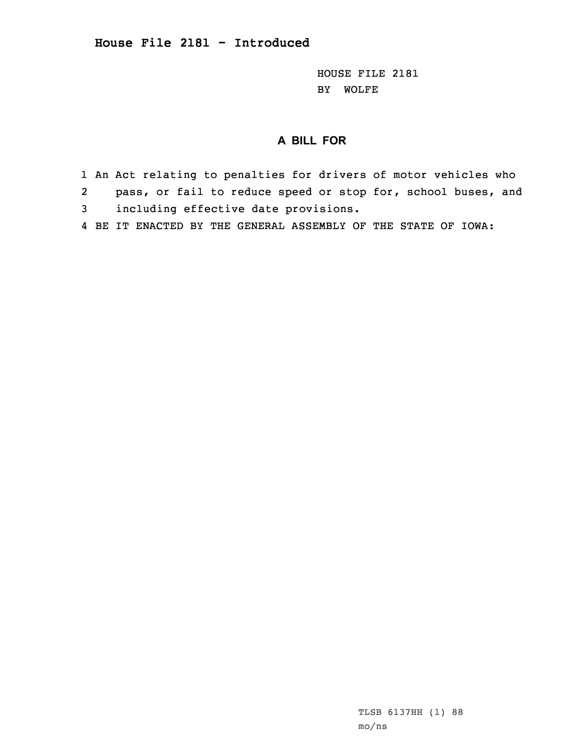HOUSE FILE 2181 BY WOLFE

## **A BILL FOR**

- 1 An Act relating to penalties for drivers of motor vehicles who
- 2pass, or fail to reduce speed or stop for, school buses, and
- 3 including effective date provisions.
- 4 BE IT ENACTED BY THE GENERAL ASSEMBLY OF THE STATE OF IOWA: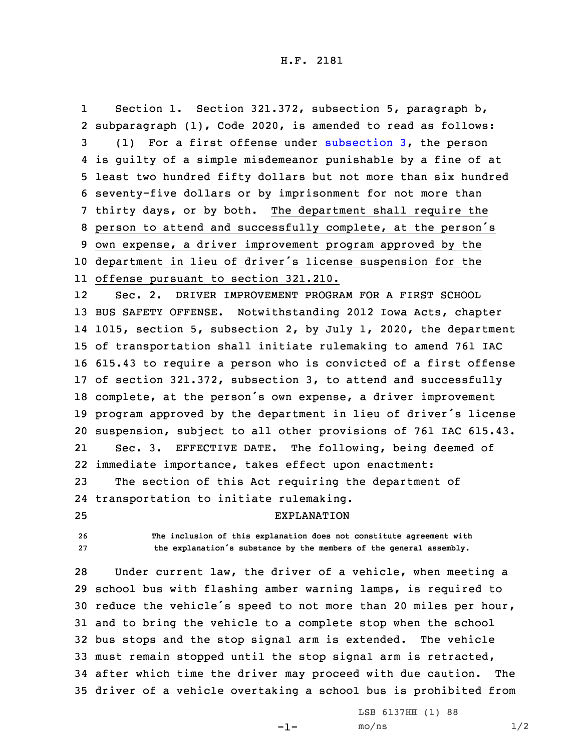1 Section 1. Section 321.372, subsection 5, paragraph b, subparagraph (1), Code 2020, is amended to read as follows: (1) For <sup>a</sup> first offense under [subsection](https://www.legis.iowa.gov/docs/code/2020/321.372.pdf) 3, the person is guilty of <sup>a</sup> simple misdemeanor punishable by <sup>a</sup> fine of at least two hundred fifty dollars but not more than six hundred seventy-five dollars or by imprisonment for not more than thirty days, or by both. The department shall require the person to attend and successfully complete, at the person's own expense, <sup>a</sup> driver improvement program approved by the department in lieu of driver's license suspension for the offense pursuant to section 321.210.

12 Sec. 2. DRIVER IMPROVEMENT PROGRAM FOR A FIRST SCHOOL BUS SAFETY OFFENSE. Notwithstanding 2012 Iowa Acts, chapter 1015, section 5, subsection 2, by July 1, 2020, the department of transportation shall initiate rulemaking to amend 761 IAC 615.43 to require <sup>a</sup> person who is convicted of <sup>a</sup> first offense of section 321.372, subsection 3, to attend and successfully complete, at the person's own expense, <sup>a</sup> driver improvement program approved by the department in lieu of driver's license suspension, subject to all other provisions of 761 IAC 615.43. 21 Sec. 3. EFFECTIVE DATE. The following, being deemed of immediate importance, takes effect upon enactment: The section of this Act requiring the department of

24 transportation to initiate rulemaking.

25 EXPLANATION

26 **The inclusion of this explanation does not constitute agreement with** <sup>27</sup> **the explanation's substance by the members of the general assembly.**

 Under current law, the driver of <sup>a</sup> vehicle, when meeting <sup>a</sup> school bus with flashing amber warning lamps, is required to reduce the vehicle's speed to not more than <sup>20</sup> miles per hour, and to bring the vehicle to <sup>a</sup> complete stop when the school bus stops and the stop signal arm is extended. The vehicle must remain stopped until the stop signal arm is retracted, after which time the driver may proceed with due caution. The driver of <sup>a</sup> vehicle overtaking <sup>a</sup> school bus is prohibited from

-1-

LSB 6137HH (1) 88  $mo/ns$  1/2